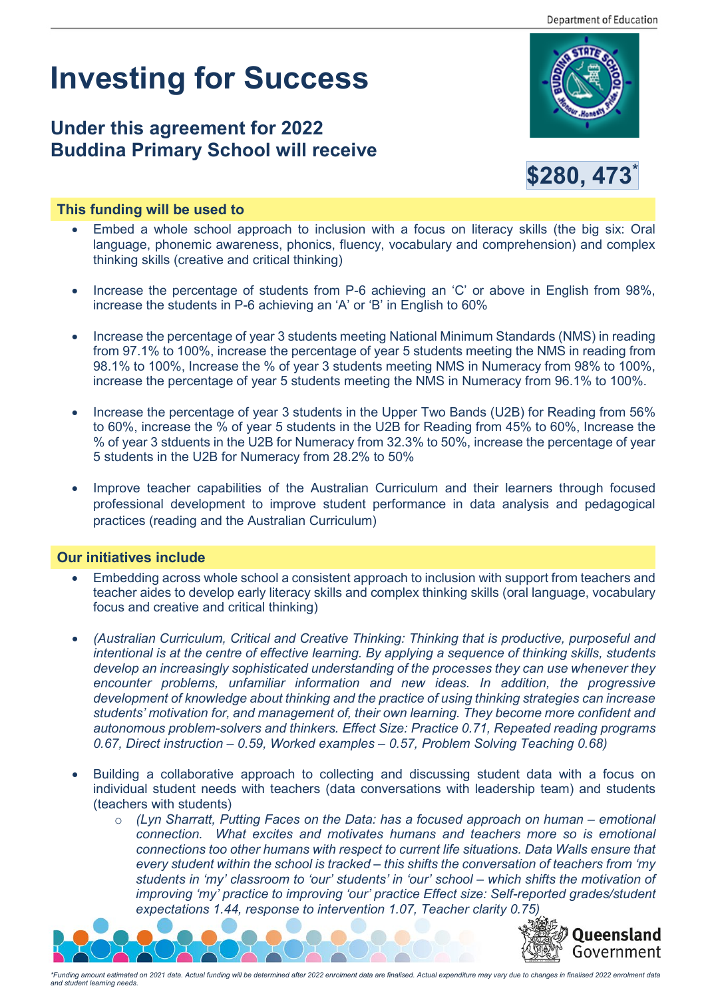# **Investing for Success**

# **Under this agreement for 2022 Buddina Primary School will receive**





## **This funding will be used to**

- Embed a whole school approach to inclusion with a focus on literacy skills (the big six: Oral language, phonemic awareness, phonics, fluency, vocabulary and comprehension) and complex thinking skills (creative and critical thinking)
- Increase the percentage of students from P-6 achieving an 'C' or above in English from 98%, increase the students in P-6 achieving an 'A' or 'B' in English to 60%
- Increase the percentage of year 3 students meeting National Minimum Standards (NMS) in reading from 97.1% to 100%, increase the percentage of year 5 students meeting the NMS in reading from 98.1% to 100%, Increase the % of year 3 students meeting NMS in Numeracy from 98% to 100%, increase the percentage of year 5 students meeting the NMS in Numeracy from 96.1% to 100%.
- Increase the percentage of year 3 students in the Upper Two Bands (U2B) for Reading from 56% to 60%, increase the % of year 5 students in the U2B for Reading from 45% to 60%, Increase the % of year 3 stduents in the U2B for Numeracy from 32.3% to 50%, increase the percentage of year 5 students in the U2B for Numeracy from 28.2% to 50%
- Improve teacher capabilities of the Australian Curriculum and their learners through focused professional development to improve student performance in data analysis and pedagogical practices (reading and the Australian Curriculum)

### **Our initiatives include**

- Embedding across whole school a consistent approach to inclusion with support from teachers and teacher aides to develop early literacy skills and complex thinking skills (oral language, vocabulary focus and creative and critical thinking)
- *(Australian Curriculum, Critical and Creative Thinking: Thinking that is productive, purposeful and intentional is at the centre of effective learning. By applying a sequence of thinking skills, students develop an increasingly sophisticated understanding of the processes they can use whenever they encounter problems, unfamiliar information and new ideas. In addition, the progressive development of knowledge about thinking and the practice of using thinking strategies can increase students' motivation for, and management of, their own learning. They become more confident and autonomous problem-solvers and thinkers. Effect Size: Practice 0.71, Repeated reading programs 0.67, Direct instruction – 0.59, Worked examples – 0.57, Problem Solving Teaching 0.68)*
- Building a collaborative approach to collecting and discussing student data with a focus on individual student needs with teachers (data conversations with leadership team) and students (teachers with students)
	- o *(Lyn Sharratt, Putting Faces on the Data: has a focused approach on human – emotional connection. What excites and motivates humans and teachers more so is emotional connections too other humans with respect to current life situations. Data Walls ensure that every student within the school is tracked – this shifts the conversation of teachers from 'my students in 'my' classroom to 'our' students' in 'our' school – which shifts the motivation of improving 'my' practice to improving 'our' practice Effect size: Self-reported grades/student expectations 1.44, response to intervention 1.07, Teacher clarity 0.75)*



*\*Funding amount estimated on 2021 data. Actual funding will be determined after 2022 enrolment data are finalised. Actual expenditure may vary due to changes in finalised 2022 enrolment data and student learning needs.*